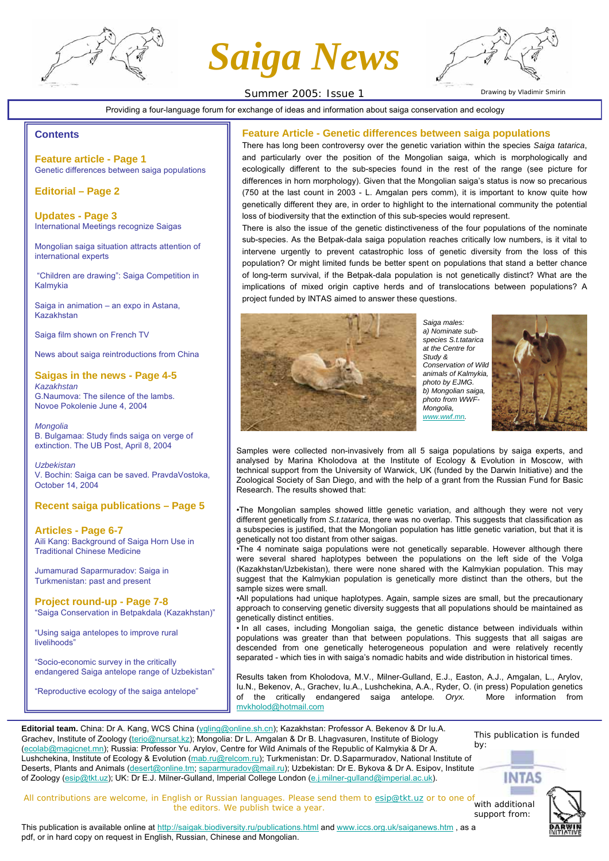

*Saiga News*



Summer 2005: Issue 1

Providing a four-language forum for exchange of ideas and information about saiga conservation and ecology

#### **Contents**

**Feature article - Page 1** Genetic differences between saiga populations

**Editorial – Page 2**

**Updates - Page 3** International Meetings recognize Saigas

Mongolian saiga situation attracts attention of international experts

"Children are drawing": Saiga Competition in Kalmykia

Saiga in animation – an expo in Astana, Kazakhstan

Saiga film shown on French TV

News about saiga reintroductions from China

**Saigas in the news - Page 4-5** *Kazakhstan* G.Naumova: The silence of the lambs. Novoe Pokolenie June 4, 2004

*Mongolia* B. Bulgamaa: Study finds saiga on verge of extinction. The UB Post, April 8, 2004

*Uzbekistan* V. Bochin: Saiga can be saved. PravdaVostoka, October 14, 2004

### **Recent saiga publications – Page 5**

**Articles - Page 6-7** Aili Kang: Background of Saiga Horn Use in Traditional Chinese Medicine

Jumamurad Saparmuradov: Saiga in Turkmenistan: past and present

**Project round-up - Page 7-8** "Saiga Conservation in Betpakdala (Kazakhstan)"

"Using saiga antelopes to improve rural livelihoods"

"Socio-economic survey in the critically endangered Saiga antelope range of Uzbekistan"

"Reproductive ecology of the saiga antelope"

### **Feature Article - Genetic differences between saiga populations**

There has long been controversy over the genetic variation within the species *Saiga tatarica*, and particularly over the position of the Mongolian saiga, which is morphologically and ecologically different to the sub-species found in the rest of the range (see picture for differences in horn morphology). Given that the Mongolian saiga's status is now so precarious (750 at the last count in 2003 - L. Amgalan pers comm), it is important to know quite how genetically different they are, in order to highlight to the international community the potential loss of biodiversity that the extinction of this sub-species would represent.

There is also the issue of the genetic distinctiveness of the four populations of the nominate sub-species. As the Betpak-dala saiga population reaches critically low numbers, is it vital to intervene urgently to prevent catastrophic loss of genetic diversity from the loss of this population? Or might limited funds be better spent on populations that stand a better chance of long-term survival, if the Betpak-dala population is not genetically distinct? What are the implications of mixed origin captive herds and of translocations between populations? A project funded by INTAS aimed to answer these questions.



*Saiga males: a) Nominate subspecies S.t.tatarica at the Centre for Study & Conservation of Wild animals of Kalmykia, photo by EJMG. b) Mongolian saiga, photo from WWF-Mongolia, www.wwf.mn.*



Samples were collected non-invasively from all 5 saiga populations by saiga experts, and analysed by Marina Kholodova at the Institute of Ecology & Evolution in Moscow, with technical support from the University of Warwick, UK (funded by the Darwin Initiative) and the Zoological Society of San Diego, and with the help of a grant from the Russian Fund for Basic Research. The results showed that:

•The Mongolian samples showed little genetic variation, and although they were not very different genetically from *S.t.tatarica*, there was no overlap. This suggests that classification as a subspecies is justified, that the Mongolian population has little genetic variation, but that it is genetically not too distant from other saigas.

•The 4 nominate saiga populations were not genetically separable. However although there were several shared haplotypes between the populations on the left side of the Volga (Kazakhstan/Uzbekistan), there were none shared with the Kalmykian population. This may suggest that the Kalmykian population is genetically more distinct than the others, but the sample sizes were small.

•All populations had unique haplotypes. Again, sample sizes are small, but the precautionary approach to conserving genetic diversity suggests that all populations should be maintained as genetically distinct entities.

• In all cases, including Mongolian saiga, the genetic distance between individuals within populations was greater than that between populations. This suggests that all saigas are descended from one genetically heterogeneous population and were relatively recently separated - which ties in with saiga's nomadic habits and wide distribution in historical times.

Results taken from Kholodova, M.V., Milner-Gulland, E.J., Easton, A.J., Amgalan, L., Arylov, Iu.N., Bekenov, A., Grachev, Iu.A., Lushchekina, A.A., Ryder, O. (in press) Population genetics of the critically endangered saiga antelope*. Oryx.* More information from mvkholod@hotmail.com

**Editorial team.** China: Dr A. Kang, WCS China (ygling@online.sh.cn); Kazakhstan: Professor A. Bekenov & Dr Iu.A. Grachev, Institute of Zoology (terio@nursat.kz); Mongolia: Dr L. Amgalan & Dr B. Lhagvasuren, Institute of Biology (ecolab@magicnet.mn); Russia: Professor Yu. Arylov, Centre for Wild Animals of the Republic of Kalmykia & Dr A. Lushchekina, Institute of Ecology & Evolution (mab.ru@relcom.ru); Turkmenistan: Dr. D.Saparmuradov, National Institute of Deserts, Plants and Animals (desert@online.tm; saparmuradov@mail.ru); Uzbekistan: Dr E. Bykova & Dr A. Esipov, Institute of Zoology (esip@tkt.uz); UK: Dr E.J. Milner-Gulland, Imperial College London (e.j.milner-gulland@imperial.ac.uk).

This publication is funded by:

*All contributions are welcome, in English or Russian languages. Please send them to esip@tkt.uz or to one of*  with additional *the editors. We publish twice a year.*  support from:



This publication is available online at http://saigak.biodiversity.ru/publications.html and www.iccs.org.uk/saiganews.htm , as a pdf, or in hard copy on request in English, Russian, Chinese and Mongolian.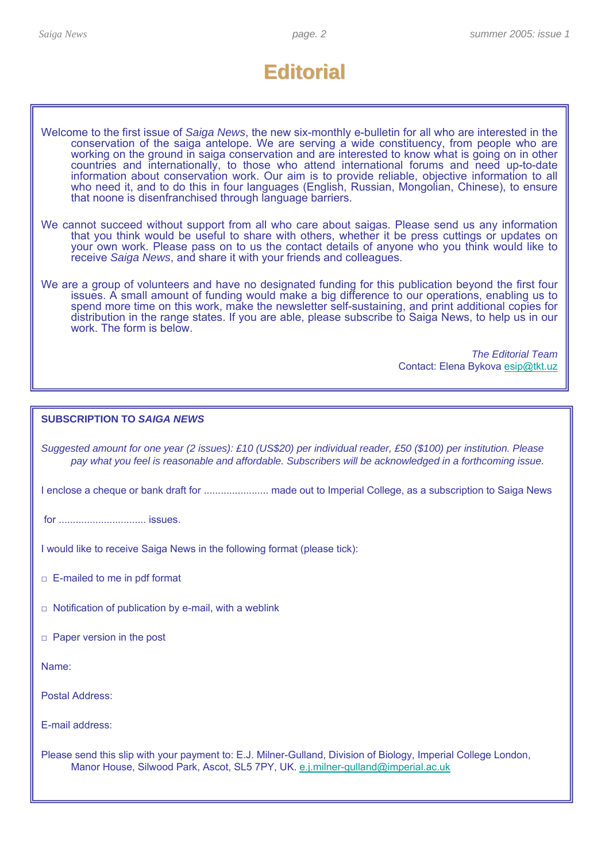# **Editorial Editorial**

| Welcome to the first issue of Saiga News, the new six-monthly e-bulletin for all who are interested in the |
|------------------------------------------------------------------------------------------------------------|
| conservation of the saiga antelope. We are serving a wide constituency, from people who are                |
| working on the ground in saiga conservation and are interested to know what is going on in other           |
| countries and internationally, to those who attend international forums and need up-to-date                |
| information about conservation work. Our aim is to provide reliable, objective information to all          |
| who need it, and to do this in four languages (English, Russian, Mongolian, Chinese), to ensure            |
| that noone is disenfranchised through language barriers.                                                   |

- We cannot succeed without support from all who care about saigas. Please send us any information that you think would be useful to share with others, whether it be press cuttings or updates on your own work. Please pass on to us the contact details of anyone who you think would like to receive *Saiga News*, and share it with your friends and colleagues.
- We are a group of volunteers and have no designated funding for this publication beyond the first four issues. A small amount of funding would make a big difference to our operations, enabling us to spend more time on this work, make the newsletter self-sustaining, and print additional copies for distribution in the range states. If you are able, please subscribe to Saiga News, to help us in our work. The form is below.

*The Editorial Team* Contact: Elena Bykova esip@tkt.uz

## **SUBSCRIPTION TO** *SAIGA NEWS*

*Suggested amount for one year (2 issues): £10 (US\$20) per individual reader, £50 (\$100) per institution. Please pay what you feel is reasonable and affordable. Subscribers will be acknowledged in a forthcoming issue.*

I enclose a cheque or bank draft for ....................... made out to Imperial College, as a subscription to Saiga News

for ............................... issues.

I would like to receive Saiga News in the following format (please tick):

 $\Box$  E-mailed to me in pdf format

- $\Box$  Notification of publication by e-mail, with a weblink
- □ Paper version in the post

Name:

Postal Address:

E-mail address:

Please send this slip with your payment to: E.J. Milner-Gulland, Division of Biology, Imperial College London, Manor House, Silwood Park, Ascot, SL5 7PY, UK. e.j.milner-gulland@imperial.ac.uk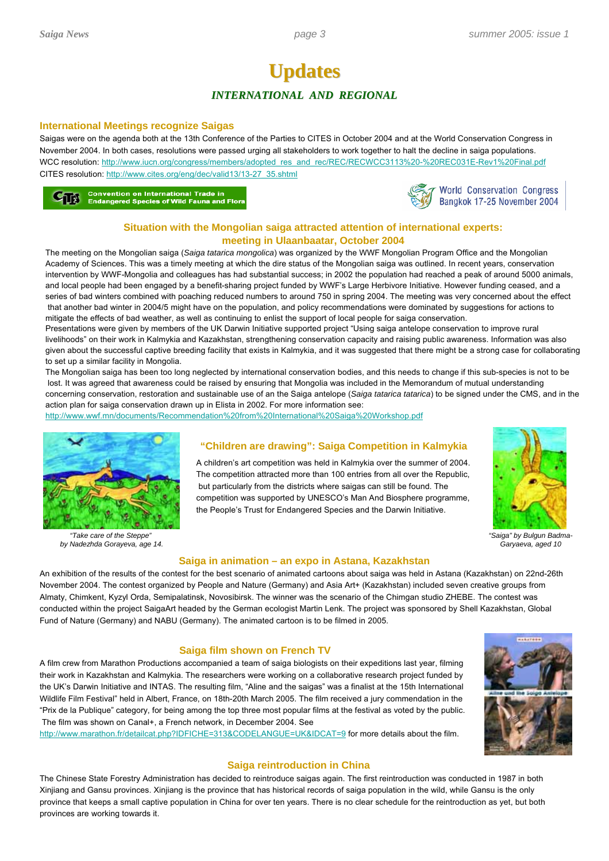## **Updates Updates** *INTERNATIONAL AND REGIONAL*

#### **International Meetings recognize Saigas**

Saigas were on the agenda both at the 13th Conference of the Parties to CITES in October 2004 and at the World Conservation Congress in November 2004. In both cases, resolutions were passed urging all stakeholders to work together to halt the decline in saiga populations. WCC resolution: http://www.iucn.org/congress/members/adopted\_res\_and\_rec/REC/RECWCC3113%20-%20REC031E-Rev1%20Final.pdf CITES resolution: http://www.cites.org/eng/dec/valid13/13-27\_35.shtml

**Convention on International Trade in**<br>Endangered Species of Wild Fauna and Flora



## **Situation with the Mongolian saiga attracted attention of international experts: meeting in Ulaanbaatar, October 2004**

The meeting on the Mongolian saiga (*Saiga tatarica mongolica*) was organized by the WWF Mongolian Program Office and the Mongolian Academy of Sciences. This was a timely meeting at which the dire status of the Mongolian saiga was outlined. In recent years, conservation intervention by WWF-Mongolia and colleagues has had substantial success; in 2002 the population had reached a peak of around 5000 animals, and local people had been engaged by a benefit-sharing project funded by WWF's Large Herbivore Initiative. However funding ceased, and a series of bad winters combined with poaching reduced numbers to around 750 in spring 2004. The meeting was very concerned about the effect that another bad winter in 2004/5 might have on the population, and policy recommendations were dominated by suggestions for actions to mitigate the effects of bad weather, as well as continuing to enlist the support of local people for saiga conservation.

Presentations were given by members of the UK Darwin Initiative supported project "Using saiga antelope conservation to improve rural livelihoods" on their work in Kalmykia and Kazakhstan, strengthening conservation capacity and raising public awareness. Information was also given about the successful captive breeding facility that exists in Kalmykia, and it was suggested that there might be a strong case for collaborating to set up a similar facility in Mongolia.

The Mongolian saiga has been too long neglected by international conservation bodies, and this needs to change if this sub-species is not to be lost. It was agreed that awareness could be raised by ensuring that Mongolia was included in the Memorandum of mutual understanding concerning conservation, restoration and sustainable use of an the Saiga antelope (*Saiga tatarica tatarica*) to be signed under the CMS, and in the action plan for saiga conservation drawn up in Elista in 2002. For more information see:

http://www.wwf.mn/documents/Recommendation%20from%20International%20Saiga%20Workshop.pdf



*"Take care of the Steppe" by Nadezhda Gorayeva, age 14.*

## **"Children are drawing": Saiga Competition in Kalmykia**

A children's art competition was held in Kalmykia over the summer of 2004. The competition attracted more than 100 entries from all over the Republic, but particularly from the districts where saigas can still be found. The competition was supported by UNESCO's Man And Biosphere programme, the People's Trust for Endangered Species and the Darwin Initiative.



*"Saiga" by Bulgun Badma-Garyaeva, aged 10*

#### **Saiga in animation – an expo in Astana, Kazakhstan**

An exhibition of the results of the contest for the best scenario of animated cartoons about saiga was held in Astana (Kazakhstan) on 22nd-26th November 2004. The contest organized by People and Nature (Germany) and Asia Art+ (Kazakhstan) included seven creative groups from Almaty, Chimkent, Kyzyl Orda, Semipalatinsk, Novosibirsk. The winner was the scenario of the Chimgan studio ZHEBE. The contest was conducted within the project SaigaArt headed by the German ecologist Martin Lenk. The project was sponsored by Shell Kazakhstan, Global Fund of Nature (Germany) and NABU (Germany). The animated cartoon is to be filmed in 2005.

#### **Saiga film shown on French TV**

A film crew from Marathon Productions accompanied a team of saiga biologists on their expeditions last year, filming their work in Kazakhstan and Kalmykia. The researchers were working on a collaborative research project funded by the UK's Darwin Initiative and INTAS. The resulting film, "Aline and the saigas" was a finalist at the 15th International Wildlife Film Festival" held in Albert, France, on 18th-20th March 2005. The film received a jury commendation in the "Prix de la Publique" category, for being among the top three most popular films at the festival as voted by the public. The film was shown on Canal+, a French network, in December 2004. See

http://www.marathon.fr/detailcat.php?IDFICHE=313&CODELANGUE=UK&IDCAT=9 for more details about the film.



### **Saiga reintroduction in China**

The Chinese State Forestry Administration has decided to reintroduce saigas again. The first reintroduction was conducted in 1987 in both Xinjiang and Gansu provinces. Xinjiang is the province that has historical records of saiga population in the wild, while Gansu is the only province that keeps a small captive population in China for over ten years. There is no clear schedule for the reintroduction as yet, but both provinces are working towards it.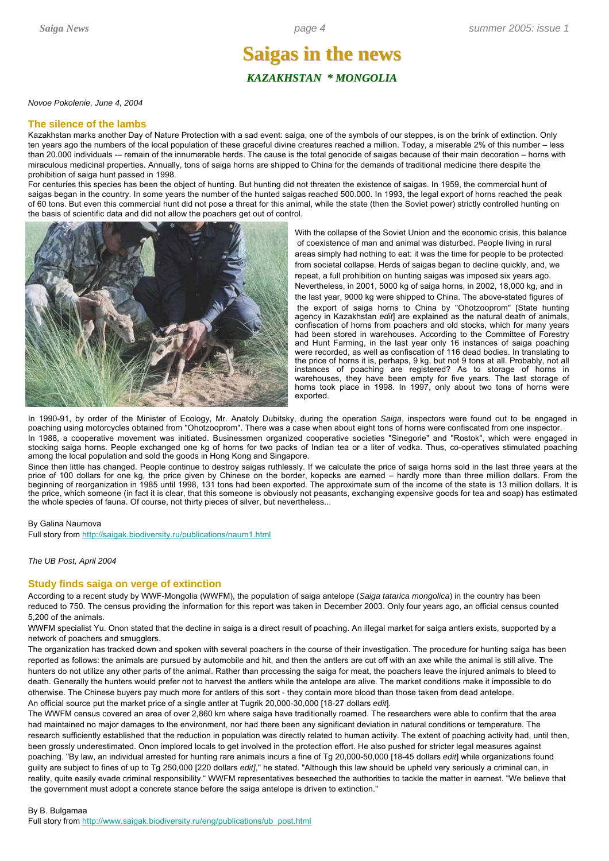## **Saigas in the news Saigas in the news** *KAZAKHSTAN \* MONGOLIA*

*Novoe Pokolenie, June 4, 2004*

#### **The silence of the lambs**

Kazakhstan marks another Day of Nature Protection with a sad event: saiga, one of the symbols of our steppes, is on the brink of extinction. Only ten years ago the numbers of the local population of these graceful divine creatures reached a million. Today, a miserable 2% of this number – less than 20.000 individuals -- remain of the innumerable herds. The cause is the total genocide of saigas because of their main decoration - horns with miraculous medicinal properties. Annually, tons of saiga horns are shipped to China for the demands of traditional medicine there despite the prohibition of saiga hunt passed in 1998.

For centuries this species has been the object of hunting. But hunting did not threaten the existence of saigas. In 1959, the commercial hunt of saigas began in the country. In some years the number of the hunted saigas reached 500.000. In 1993, the legal export of horns reached the peak of 60 tons. But even this commercial hunt did not pose a threat for this animal, while the state (then the Soviet power) strictly controlled hunting on the basis of scientific data and did not allow the poachers get out of control.



With the collapse of the Soviet Union and the economic crisis, this balance of coexistence of man and animal was disturbed. People living in rural areas simply had nothing to eat: it was the time for people to be protected from societal collapse. Herds of saigas began to decline quickly, and, we repeat, a full prohibition on hunting saigas was imposed six years ago. Nevertheless, in 2001, 5000 kg of saiga horns, in 2002, 18,000 kg, and in the last year, 9000 kg were shipped to China. The above-stated figures of the export of saiga horns to China by "Ohotzooprom" [State hunting agency in Kazakhstan *edit*] are explained as the natural death of animals, confiscation of horns from poachers and old stocks, which for many years had been stored in warehouses. According to the Committee of Forestry and Hunt Farming, in the last year only 16 instances of saiga poaching were recorded, as well as confiscation of 116 dead bodies. In translating to the price of horns it is, perhaps, 9 kg, but not 9 tons at all. Probably, not all instances of poaching are registered? As to storage of horns in warehouses, they have been empty for five years. The last storage of horns took place in 1998. In 1997, only about two tons of horns were exported.

In 1990-91, by order of the Minister of Ecology, Mr. Anatoly Dubitsky, during the operation *Saiga*, inspectors were found out to be engaged in poaching using motorcycles obtained from "Ohotzooprom". There was a case when about eight tons of horns were confiscated from one inspector. In 1988, a cooperative movement was initiated. Businessmen organized cooperative societies "Sinegorie" and "Rostok", which were engaged in stocking saiga horns. People exchanged one kg of horns for two packs of Indian tea or a liter of vodka. Thus, co-operatives stimulated poaching among the local population and sold the goods in Hong Kong and Singapore.

Since then little has changed. People continue to destroy saigas ruthlessly. If we calculate the price of saiga horns sold in the last three years at the price of 100 dollars for one kg, the price given by Chinese on the border, kopecks are earned – hardly more than three million dollars. From the beginning of reorganization in 1985 until 1998, 131 tons had been exported. The approximate sum of the income of the state is 13 million dollars. It is the price, which someone (in fact it is clear, that this someone is obviously not peasants, exchanging expensive goods for tea and soap) has estimated the whole species of fauna. Of course, not thirty pieces of silver, but nevertheless...

#### By Galina Naumova

Full story from http://saigak.biodiversity.ru/publications/naum1.html

#### *The UB Post, April 2004*

#### **Study finds saiga on verge of extinction**

According to a recent study by WWF-Mongolia (WWFM), the population of saiga antelope (*Saiga tatarica mongolica*) in the country has been reduced to 750. The census providing the information for this report was taken in December 2003. Only four years ago, an official census counted 5,200 of the animals.

WWFM specialist Yu. Onon stated that the decline in saiga is a direct result of poaching. An illegal market for saiga antlers exists, supported by a network of poachers and smugglers.

The organization has tracked down and spoken with several poachers in the course of their investigation. The procedure for hunting saiga has been reported as follows: the animals are pursued by automobile and hit, and then the antlers are cut off with an axe while the animal is still alive. The hunters do not utilize any other parts of the animal. Rather than processing the saiga for meat, the poachers leave the injured animals to bleed to death. Generally the hunters would prefer not to harvest the antlers while the antelope are alive. The market conditions make it impossible to do otherwise. The Chinese buyers pay much more for antlers of this sort - they contain more blood than those taken from dead antelope. An official source put the market price of a single antler at Tugrik 20,000-30,000 [18-27 dollars *edit*].

The WWFM census covered an area of over 2,860 km where saiga have traditionally roamed. The researchers were able to confirm that the area had maintained no major damages to the environment, nor had there been any significant deviation in natural conditions or temperature. The research sufficiently established that the reduction in population was directly related to human activity. The extent of poaching activity had, until then, been grossly underestimated. Onon implored locals to get involved in the protection effort. He also pushed for stricter legal measures against poaching. "By law, an individual arrested for hunting rare animals incurs a fine of Tg 20,000-50,000 [18-45 dollars *edit*] while organizations found guilty are subject to fines of up to Tg 250,000 [220 dollars *edit]*," he stated. "Although this law should be upheld very seriously a criminal can, in reality, quite easily evade criminal responsibility." WWFM representatives beseeched the authorities to tackle the matter in earnest. "We believe that the government must adopt a concrete stance before the saiga antelope is driven to extinction."

By B. Bulgamaa Full story from http://www.saigak.biodiversity.ru/eng/publications/ub\_post.html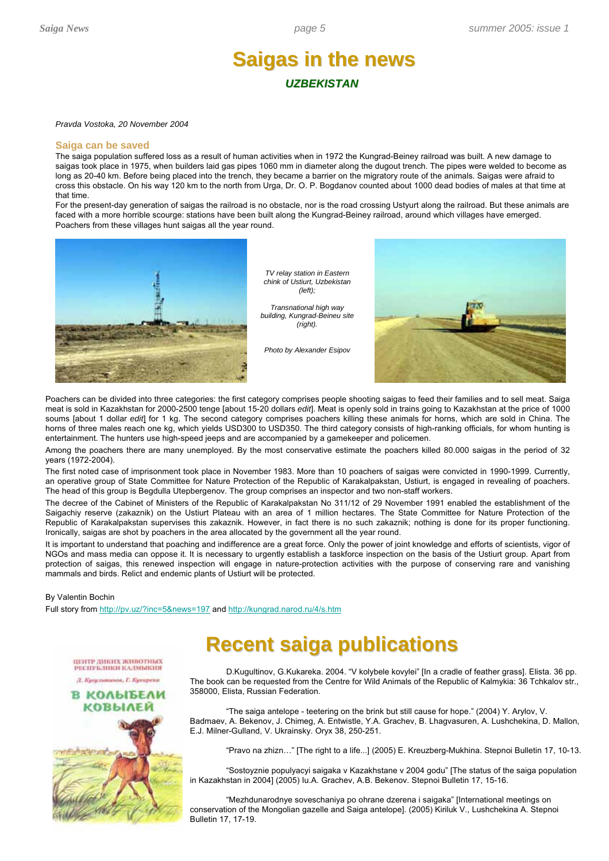## **Saigas in the news Saigas in the news** *UZBEKISTAN*

#### *Pravda Vostoka, 20 November 2004*

#### **Saiga can be saved**

The saiga population suffered loss as a result of human activities when in 1972 the Kungrad-Beiney railroad was built. A new damage to saigas took place in 1975, when builders laid gas pipes 1060 mm in diameter along the dugout trench. The pipes were welded to become as long as 20-40 km. Before being placed into the trench, they became a barrier on the migratory route of the animals. Saigas were afraid to cross this obstacle. On his way 120 km to the north from Urga, Dr. O. P. Bogdanov counted about 1000 dead bodies of males at that time at that time.

For the present-day generation of saigas the railroad is no obstacle, nor is the road crossing Ustyurt along the railroad. But these animals are faced with a more horrible scourge: stations have been built along the Kungrad-Beiney railroad, around which villages have emerged. Poachers from these villages hunt saigas all the year round.



*TV relay station in Eastern chink of Ustiurt, Uzbekistan (left);*

*Transnational high way building, Kungrad-Beineu site (right).*

*Photo by Alexander Esipov*



Poachers can be divided into three categories: the first category comprises people shooting saigas to feed their families and to sell meat. Saiga meat is sold in Kazakhstan for 2000-2500 tenge [about 15-20 dollars *edit*]. Meat is openly sold in trains going to Kazakhstan at the price of 1000 soums [about 1 dollar *edit*] for 1 kg. The second category comprises poachers killing these animals for horns, which are sold in China. The horns of three males reach one kg, which yields USD300 to USD350. The third category consists of high-ranking officials, for whom hunting is entertainment. The hunters use high-speed jeeps and are accompanied by a gamekeeper and policemen.

Among the poachers there are many unemployed. By the most conservative estimate the poachers killed 80.000 saigas in the period of 32 years (1972-2004).

The first noted case of imprisonment took place in November 1983. More than 10 poachers of saigas were convicted in 1990-1999. Currently, an operative group of State Committee for Nature Protection of the Republic of Karakalpakstan, Ustiurt, is engaged in revealing of poachers. The head of this group is Begdulla Utepbergenov. The group comprises an inspector and two non-staff workers.

The decree of the Cabinet of Ministers of the Republic of Karakalpakstan No 311/12 of 29 November 1991 enabled the establishment of the Saigachiy reserve (zakaznik) on the Ustiurt Plateau with an area of 1 million hectares. The State Committee for Nature Protection of the Republic of Karakalpakstan supervises this zakaznik. However, in fact there is no such zakaznik; nothing is done for its proper functioning. Ironically, saigas are shot by poachers in the area allocated by the government all the year round.

It is important to understand that poaching and indifference are a great force. Only the power of joint knowledge and efforts of scientists, vigor of NGOs and mass media can oppose it. It is necessary to urgently establish a taskforce inspection on the basis of the Ustiurt group. Apart from protection of saigas, this renewed inspection will engage in nature-protection activities with the purpose of conserving rare and vanishing mammals and birds. Relict and endemic plants of Ustiurt will be protected.

#### By Valentin Bochin

Full story from http://pv.uz/?inc=5&news=197 and http://kungrad.narod.ru/4/s.htm

## **Recent saiga publications Recent saiga publications**

D.Kugultinov, G.Kukareka. 2004. "V kolybele kovylei" [In a cradle of feather grass]. Elista. 36 pp. The book can be requested from the Centre for Wild Animals of the Republic of Kalmykia: 36 Tchkalov str., 358000, Elista, Russian Federation.

"The saiga antelope - teetering on the brink but still cause for hope." (2004) Y. Arylov, V. Badmaev, A. Bekenov, J. Chimeg, A. Entwistle, Y.A. Grachev, B. Lhagvasuren, A. Lushchekina, D. Mallon, E.J. Milner-Gulland, V. Ukrainsky. Oryx 38, 250-251.

"Pravo na zhizn…" [The right to a life...] (2005) E. Kreuzberg-Mukhina. Stepnoi Bulletin 17, 10-13.

"Sostoyznie populyacyi saigaka v Kazakhstane v 2004 godu" [The status of the saiga population in Kazakhstan in 2004] (2005) Iu.A. Grachev, A.B. Bekenov. Stepnoi Bulletin 17, 15-16.

"Mezhdunarodnye soveschaniya po ohrane dzerena i saigaka" [International meetings on conservation of the Mongolian gazelle and Saiga antelope]. (2005) Kiriluk V., Lushchekina A. Stepnoi Bulletin 17, 17-19.



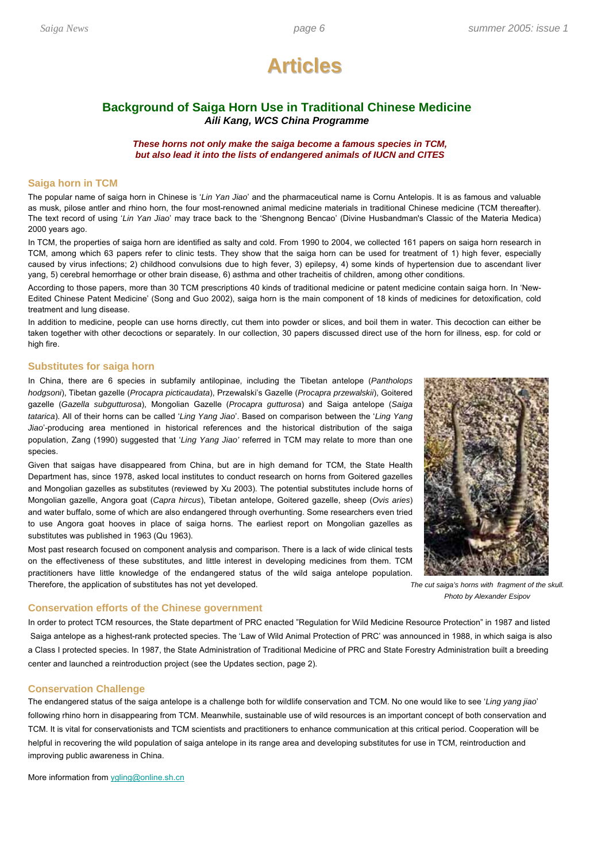

## **Background of Saiga Horn Use in Traditional Chinese Medicine**  *Aili Kang, WCS China Programme*

#### *These horns not only make the saiga become a famous species in TCM, but also lead it into the lists of endangered animals of IUCN and CITES*

#### **Saiga horn in TCM**

The popular name of saiga horn in Chinese is '*Lin Yan Jiao*' and the pharmaceutical name is Cornu Antelopis. It is as famous and valuable as musk, pilose antler and rhino horn, the four most-renowned animal medicine materials in traditional Chinese medicine (TCM thereafter). The text record of using '*Lin Yan Jiao*' may trace back to the 'Shengnong Bencao' (Divine Husbandman's Classic of the Materia Medica) 2000 years ago.

In TCM, the properties of saiga horn are identified as salty and cold. From 1990 to 2004, we collected 161 papers on saiga horn research in TCM, among which 63 papers refer to clinic tests. They show that the saiga horn can be used for treatment of 1) high fever, especially caused by virus infections; 2) childhood convulsions due to high fever, 3) epilepsy, 4) some kinds of hypertension due to ascendant liver yang, 5) cerebral hemorrhage or other brain disease, 6) asthma and other tracheitis of children, among other conditions.

According to those papers, more than 30 TCM prescriptions 40 kinds of traditional medicine or patent medicine contain saiga horn. In 'New-Edited Chinese Patent Medicine' (Song and Guo 2002), saiga horn is the main component of 18 kinds of medicines for detoxification, cold treatment and lung disease.

In addition to medicine, people can use horns directly, cut them into powder or slices, and boil them in water. This decoction can either be taken together with other decoctions or separately. In our collection, 30 papers discussed direct use of the horn for illness, esp. for cold or high fire.

#### **Substitutes for saiga horn**

In China, there are 6 species in subfamily antilopinae, including the Tibetan antelope (*Pantholops hodgsoni*), Tibetan gazelle (*Procapra picticaudata*), Przewalski's Gazelle (*Procapra przewalskii*), Goitered gazelle (*Gazella subgutturosa*), Mongolian Gazelle (*Procapra gutturosa*) and Saiga antelope (*Saiga tatarica*). All of their horns can be called '*Ling Yang Jiao*'. Based on comparison between the '*Ling Yang Jiao*'-producing area mentioned in historical references and the historical distribution of the saiga population, Zang (1990) suggested that '*Ling Yang Jiao'* referred in TCM may relate to more than one species.

Given that saigas have disappeared from China, but are in high demand for TCM, the State Health Department has, since 1978, asked local institutes to conduct research on horns from Goitered gazelles and Mongolian gazelles as substitutes (reviewed by Xu 2003). The potential substitutes include horns of Mongolian gazelle, Angora goat (*Capra hircus*), Tibetan antelope, Goitered gazelle, sheep (*Ovis aries*) and water buffalo, some of which are also endangered through overhunting. Some researchers even tried to use Angora goat hooves in place of saiga horns. The earliest report on Mongolian gazelles as substitutes was published in 1963 (Qu 1963).

Most past research focused on component analysis and comparison. There is a lack of wide clinical tests on the effectiveness of these substitutes, and little interest in developing medicines from them. TCM practitioners have little knowledge of the endangered status of the wild saiga antelope population. Therefore, the application of substitutes has not yet developed.



*The cut saiga's horns with fragment of the skull. Photo by Alexander Esipov*

#### **Conservation efforts of the Chinese government**

In order to protect TCM resources, the State department of PRC enacted "Regulation for Wild Medicine Resource Protection" in 1987 and listed Saiga antelope as a highest-rank protected species. The 'Law of Wild Animal Protection of PRC' was announced in 1988, in which saiga is also a Class I protected species. In 1987, the State Administration of Traditional Medicine of PRC and State Forestry Administration built a breeding center and launched a reintroduction project (see the Updates section, page 2).

#### **Conservation Challenge**

The endangered status of the saiga antelope is a challenge both for wildlife conservation and TCM. No one would like to see '*Ling yang jiao*' following rhino horn in disappearing from TCM. Meanwhile, sustainable use of wild resources is an important concept of both conservation and TCM. It is vital for conservationists and TCM scientists and practitioners to enhance communication at this critical period. Cooperation will be helpful in recovering the wild population of saiga antelope in its range area and developing substitutes for use in TCM, reintroduction and improving public awareness in China.

More information from ygling@online.sh.cn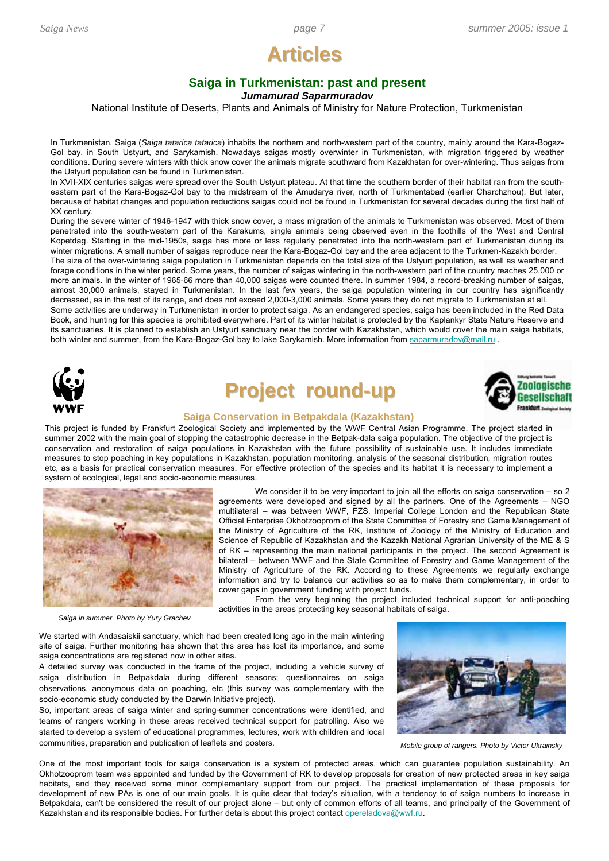# **Articles Articles**

## **Saiga in Turkmenistan: past and present**

*Jumamurad Saparmuradov*

National Institute of Deserts, Plants and Animals of Ministry for Nature Protection, Turkmenistan

In Turkmenistan, Saiga (*Saiga tatarica tatarica*) inhabits the northern and north-western part of the country, mainly around the Kara-Bogaz-Gol bay, in South Ustyurt, and Sarykamish. Nowadays saigas mostly overwinter in Turkmenistan, with migration triggered by weather conditions. During severe winters with thick snow cover the animals migrate southward from Kazakhstan for over-wintering. Thus saigas from the Ustyurt population can be found in Turkmenistan.

In XVII-XIX centuries saigas were spread over the South Ustyurt plateau. At that time the southern border of their habitat ran from the southeastern part of the Kara-Bogaz-Gol bay to the midstream of the Amudarya river, north of Turkmentabad (earlier Charchzhou). But later, because of habitat changes and population reductions saigas could not be found in Turkmenistan for several decades during the first half of XX century.

During the severe winter of 1946-1947 with thick snow cover, a mass migration of the animals to Turkmenistan was observed. Most of them penetrated into the south-western part of the Karakums, single animals being observed even in the foothills of the West and Central Kopetdag. Starting in the mid-1950s, saiga has more or less regularly penetrated into the north-western part of Turkmenistan during its winter migrations. A small number of saigas reproduce near the Kara-Bogaz-Gol bay and the area adjacent to the Turkmen-Kazakh border. The size of the over-wintering saiga population in Turkmenistan depends on the total size of the Ustyurt population, as well as weather and forage conditions in the winter period. Some years, the number of saigas wintering in the north-western part of the country reaches 25,000 or more animals. In the winter of 1965-66 more than 40,000 saigas were counted there. In summer 1984, a record-breaking number of saigas, almost 30,000 animals, stayed in Turkmenistan. In the last few years, the saiga population wintering in our country has significantly decreased, as in the rest of its range, and does not exceed 2,000-3,000 animals. Some years they do not migrate to Turkmenistan at all. Some activities are underway in Turkmenistan in order to protect saiga. As an endangered species, saiga has been included in the Red Data Book, and hunting for this species is prohibited everywhere. Part of its winter habitat is protected by the Kaplankyr State Nature Reserve and its sanctuaries. It is planned to establish an Ustyurt sanctuary near the border with Kazakhstan, which would cover the main saiga habitats, both winter and summer, from the Kara-Bogaz-Gol bay to lake Sarykamish. More information from saparmuradov@mail.ru



# **Project round-up**



## **Saiga Conservation in Betpakdala (Kazakhstan)**

This project is funded by Frankfurt Zoological Society and implemented by the WWF Central Asian Programme. The project started in summer 2002 with the main goal of stopping the catastrophic decrease in the Betpak-dala saiga population. The objective of the project is conservation and restoration of saiga populations in Kazakhstan with the future possibility of sustainable use. It includes immediate measures to stop poaching in key populations in Kazakhstan, population monitoring, analysis of the seasonal distribution, migration routes etc, as a basis for practical conservation measures. For effective protection of the species and its habitat it is necessary to implement a system of ecological, legal and socio-economic measures.



We consider it to be very important to join all the efforts on saiga conservation  $-$  so 2 agreements were developed and signed by all the partners. One of the Agreements – NGO multilateral – was between WWF, FZS, Imperial College London and the Republican State Official Enterprise Okhotzooprom of the State Committee of Forestry and Game Management of the Ministry of Agriculture of the RK, Institute of Zoology of the Ministry of Education and Science of Republic of Kazakhstan and the Kazakh National Agrarian University of the ME & S of RK – representing the main national participants in the project. The second Agreement is bilateral – between WWF and the State Committee of Forestry and Game Management of the Ministry of Agriculture of the RK. According to these Agreements we regularly exchange information and try to balance our activities so as to make them complementary, in order to cover gaps in government funding with project funds.

From the very beginning the project included technical support for anti-poaching activities in the areas protecting key seasonal habitats of saiga.

*Saiga in summer. Photo by Yury Grachev*

We started with Andasaiskii sanctuary, which had been created long ago in the main wintering site of saiga. Further monitoring has shown that this area has lost its importance, and some saiga concentrations are registered now in other sites.

A detailed survey was conducted in the frame of the project, including a vehicle survey of saiga distribution in Betpakdala during different seasons; questionnaires on saiga observations, anonymous data on poaching, etc (this survey was complementary with the socio-economic study conducted by the Darwin Initiative project).

So, important areas of saiga winter and spring-summer concentrations were identified, and teams of rangers working in these areas received technical support for patrolling. Also we started to develop a system of educational programmes, lectures, work with children and local communities, preparation and publication of leaflets and posters. **Mobile group of rangers.** Photo by Victor Ukrainsky



One of the most important tools for saiga conservation is a system of protected areas, which can guarantee population sustainability. An Okhotzooprom team was appointed and funded by the Government of RK to develop proposals for creation of new protected areas in key saiga habitats, and they received some minor complementary support from our project. The practical implementation of these proposals for development of new PAs is one of our main goals. It is quite clear that today's situation, with a tendency to of saiga numbers to increase in Betpakdala, can't be considered the result of our project alone – but only of common efforts of all teams, and principally of the Government of Kazakhstan and its responsible bodies. For further details about this project contact opereladova@wwf.ru.